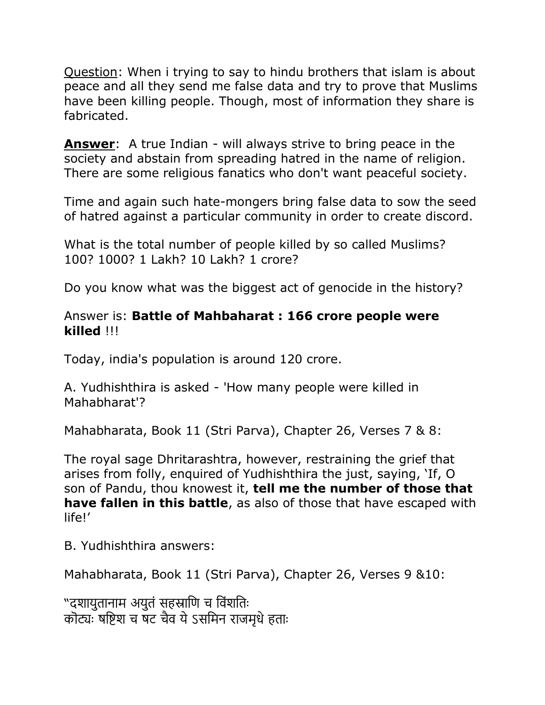Question: When i trying to say to hindu brothers that islam is about peace and all they send me false data and try to prove that Muslims have been killing people. Though, most of information they share is fabricated.

**Answer**: A true Indian - will always strive to bring peace in the society and abstain from spreading hatred in the name of religion. There are some religious fanatics who don't want peaceful society.

Time and again such hate-mongers bring false data to sow the seed of hatred against a particular community in order to create discord.

What is the total number of people killed by so called Muslims? 100? 1000? 1 Lakh? 10 Lakh? 1 crore?

Do you know what was the biggest act of genocide in the history?

## Answer is: **Battle of Mahbaharat : 166 crore people were killed** !!!

Today, india's population is around 120 crore.

A. Yudhishthira is asked - 'How many people were killed in Mahabharat'?

Mahabharata, Book 11 (Stri Parva), Chapter 26, Verses 7 & 8:

The royal sage Dhritarashtra, however, restraining the grief that arises from folly, enquired of Yudhishthira the just, saying, 'If, O son of Pandu, thou knowest it, **tell me the number of those that have fallen in this battle**, as also of those that have escaped with life!'

B. Yudhishthira answers:

Mahabharata, Book 11 (Stri Parva), Chapter 26, Verses 9 &10:

"दशायुतानाम अयुतं सहस्राणि च विंशतिः कॊट्यः षष्टिश च षट चैव ये ऽसमिन राजमृधे हताः